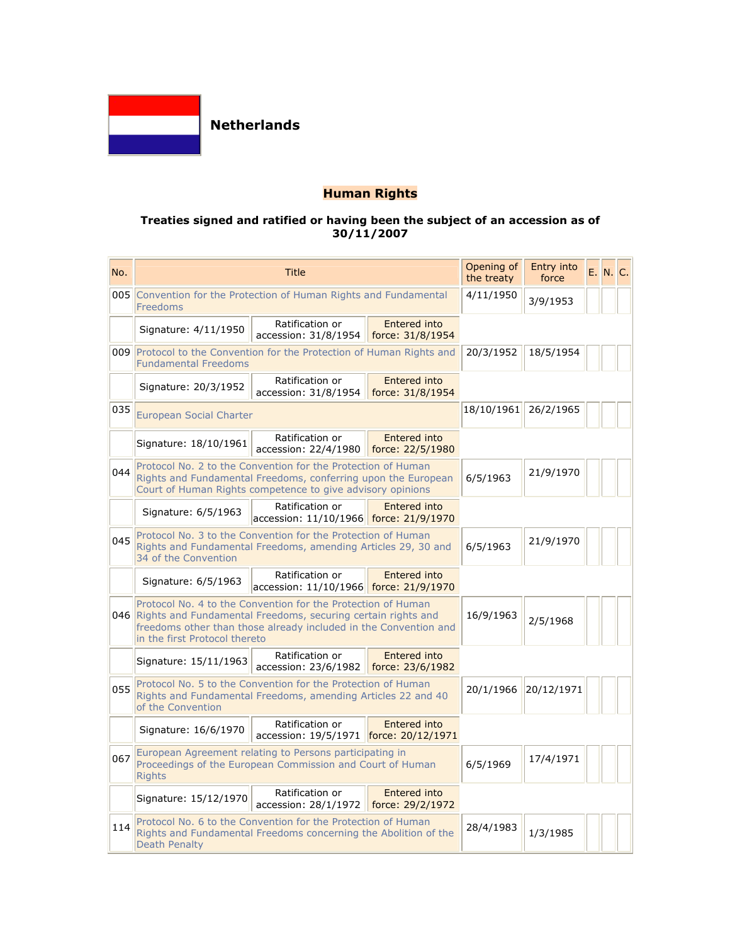

# **Human Rights**

### **Treaties signed and ratified or having been the subject of an accession as of 30/11/2007**

| No. | <b>Title</b>                                                                                                                                                                                                                          |                                                           |                                         | Opening of<br>the treaty | Entry into<br>force |  | E. N. C. |
|-----|---------------------------------------------------------------------------------------------------------------------------------------------------------------------------------------------------------------------------------------|-----------------------------------------------------------|-----------------------------------------|--------------------------|---------------------|--|----------|
| 005 | Convention for the Protection of Human Rights and Fundamental<br>Freedoms                                                                                                                                                             |                                                           |                                         | 4/11/1950                | 3/9/1953            |  |          |
|     | Signature: 4/11/1950                                                                                                                                                                                                                  | Ratification or<br>accession: 31/8/1954                   | <b>Entered into</b><br>force: 31/8/1954 |                          |                     |  |          |
| 009 | Protocol to the Convention for the Protection of Human Rights and<br><b>Fundamental Freedoms</b>                                                                                                                                      | 20/3/1952                                                 | 18/5/1954                               |                          |                     |  |          |
|     | Signature: 20/3/1952                                                                                                                                                                                                                  | Ratification or<br>accession: 31/8/1954                   | <b>Entered into</b><br>force: 31/8/1954 |                          |                     |  |          |
| 035 | <b>European Social Charter</b>                                                                                                                                                                                                        | 18/10/1961                                                | 26/2/1965                               |                          |                     |  |          |
|     | Signature: 18/10/1961                                                                                                                                                                                                                 | Ratification or<br>accession: 22/4/1980                   | <b>Entered into</b><br>force: 22/5/1980 |                          |                     |  |          |
| 044 | Protocol No. 2 to the Convention for the Protection of Human<br>Rights and Fundamental Freedoms, conferring upon the European<br>Court of Human Rights competence to give advisory opinions                                           |                                                           |                                         | 6/5/1963                 | 21/9/1970           |  |          |
|     | Signature: 6/5/1963                                                                                                                                                                                                                   | Ratification or<br>accession: 11/10/1966 force: 21/9/1970 | Entered into                            |                          |                     |  |          |
| 045 | Protocol No. 3 to the Convention for the Protection of Human<br>Rights and Fundamental Freedoms, amending Articles 29, 30 and<br>34 of the Convention                                                                                 |                                                           |                                         | 6/5/1963                 | 21/9/1970           |  |          |
|     | Signature: 6/5/1963                                                                                                                                                                                                                   | Ratification or<br>accession: 11/10/1966 force: 21/9/1970 | Entered into                            |                          |                     |  |          |
|     | Protocol No. 4 to the Convention for the Protection of Human<br>046 Rights and Fundamental Freedoms, securing certain rights and<br>freedoms other than those already included in the Convention and<br>in the first Protocol thereto |                                                           |                                         | 16/9/1963                | 2/5/1968            |  |          |
|     | Signature: 15/11/1963                                                                                                                                                                                                                 | Ratification or<br>accession: 23/6/1982                   | Entered into<br>force: 23/6/1982        |                          |                     |  |          |
| 055 | Protocol No. 5 to the Convention for the Protection of Human<br>Rights and Fundamental Freedoms, amending Articles 22 and 40<br>of the Convention                                                                                     |                                                           |                                         | 20/1/1966                | 20/12/1971          |  |          |
|     | Signature: 16/6/1970                                                                                                                                                                                                                  | Ratification or<br>accession: 19/5/1971 force: 20/12/1971 | Entered into                            |                          |                     |  |          |
| 067 | European Agreement relating to Persons participating in<br>Proceedings of the European Commission and Court of Human<br><b>Rights</b>                                                                                                 |                                                           |                                         | 6/5/1969                 | 17/4/1971           |  |          |
|     | Signature: 15/12/1970                                                                                                                                                                                                                 | Ratification or<br>accession: 28/1/1972                   | <b>Entered into</b><br>force: 29/2/1972 |                          |                     |  |          |
| 114 | Protocol No. 6 to the Convention for the Protection of Human<br>Rights and Fundamental Freedoms concerning the Abolition of the<br><b>Death Penalty</b>                                                                               |                                                           |                                         | 28/4/1983                | 1/3/1985            |  |          |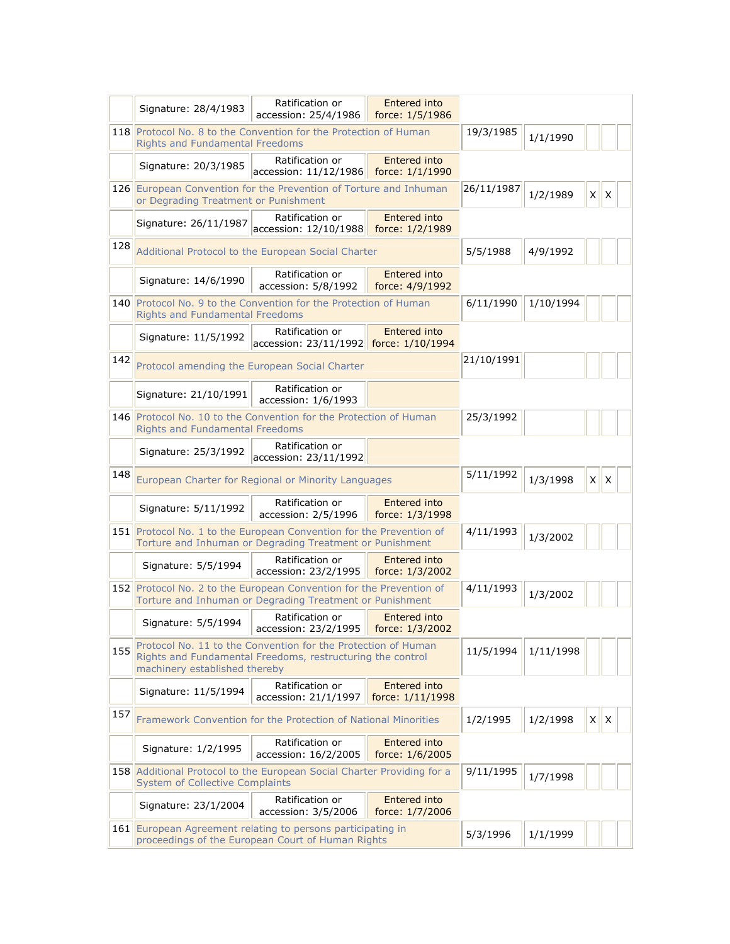|     |                                                                                                                                                              | Ratification or                                                                                                                 | Entered into                     |            |           |              |   |  |
|-----|--------------------------------------------------------------------------------------------------------------------------------------------------------------|---------------------------------------------------------------------------------------------------------------------------------|----------------------------------|------------|-----------|--------------|---|--|
|     | Signature: 28/4/1983                                                                                                                                         | accession: 25/4/1986                                                                                                            | force: 1/5/1986                  |            |           |              |   |  |
|     | 118 Protocol No. 8 to the Convention for the Protection of Human<br><b>Rights and Fundamental Freedoms</b>                                                   |                                                                                                                                 |                                  | 19/3/1985  | 1/1/1990  |              |   |  |
|     | Signature: 20/3/1985                                                                                                                                         | Ratification or<br>accession: 11/12/1986                                                                                        | Entered into<br>force: 1/1/1990  |            |           |              |   |  |
|     | 126 European Convention for the Prevention of Torture and Inhuman<br>or Degrading Treatment or Punishment                                                    |                                                                                                                                 |                                  | 26/11/1987 | 1/2/1989  | $X \mid X$   |   |  |
|     | Signature: 26/11/1987                                                                                                                                        | Ratification or<br>accession: 12/10/1988                                                                                        | Entered into<br>force: 1/2/1989  |            |           |              |   |  |
| 128 | Additional Protocol to the European Social Charter                                                                                                           |                                                                                                                                 |                                  |            | 4/9/1992  |              |   |  |
|     | Signature: 14/6/1990                                                                                                                                         | Ratification or<br>accession: 5/8/1992                                                                                          | Entered into<br>force: 4/9/1992  |            |           |              |   |  |
|     | <b>Rights and Fundamental Freedoms</b>                                                                                                                       | 140 Protocol No. 9 to the Convention for the Protection of Human                                                                |                                  | 6/11/1990  | 1/10/1994 |              |   |  |
|     | Signature: 11/5/1992                                                                                                                                         | Ratification or<br>accession: 23/11/1992 force: 1/10/1994                                                                       | Entered into                     |            |           |              |   |  |
| 142 | Protocol amending the European Social Charter                                                                                                                |                                                                                                                                 |                                  | 21/10/1991 |           |              |   |  |
|     | Signature: 21/10/1991                                                                                                                                        | Ratification or<br>accession: 1/6/1993                                                                                          |                                  |            |           |              |   |  |
|     | 146 Protocol No. 10 to the Convention for the Protection of Human<br><b>Rights and Fundamental Freedoms</b>                                                  |                                                                                                                                 |                                  | 25/3/1992  |           |              |   |  |
|     | Signature: 25/3/1992                                                                                                                                         | Ratification or<br>accession: 23/11/1992                                                                                        |                                  |            |           |              |   |  |
| 148 | European Charter for Regional or Minority Languages                                                                                                          |                                                                                                                                 |                                  | 5/11/1992  | 1/3/1998  | $X \mid X$   |   |  |
|     | Signature: 5/11/1992                                                                                                                                         | Ratification or<br>accession: 2/5/1996                                                                                          | Entered into<br>force: 1/3/1998  |            |           |              |   |  |
|     | 151 Protocol No. 1 to the European Convention for the Prevention of<br>Torture and Inhuman or Degrading Treatment or Punishment                              |                                                                                                                                 |                                  | 4/11/1993  | 1/3/2002  |              |   |  |
|     | Signature: 5/5/1994                                                                                                                                          | Ratification or<br>accession: 23/2/1995                                                                                         | Entered into<br>force: 1/3/2002  |            |           |              |   |  |
|     |                                                                                                                                                              | 152 Protocol No. 2 to the European Convention for the Prevention of<br>Torture and Inhuman or Degrading Treatment or Punishment |                                  | 4/11/1993  | 1/3/2002  |              |   |  |
|     | Signature: 5/5/1994                                                                                                                                          | Ratification or<br>accession: 23/2/1995 force: 1/3/2002                                                                         | Entered into                     |            |           |              |   |  |
| 155 | Protocol No. 11 to the Convention for the Protection of Human<br>Rights and Fundamental Freedoms, restructuring the control<br>machinery established thereby |                                                                                                                                 |                                  | 11/5/1994  | 1/11/1998 |              |   |  |
|     | Signature: 11/5/1994                                                                                                                                         | Ratification or<br>accession: 21/1/1997                                                                                         | Entered into<br>force: 1/11/1998 |            |           |              |   |  |
| 157 |                                                                                                                                                              | Framework Convention for the Protection of National Minorities                                                                  |                                  | 1/2/1995   | 1/2/1998  | $\mathsf{X}$ | X |  |
|     | Signature: 1/2/1995                                                                                                                                          | Ratification or<br>accession: 16/2/2005                                                                                         | Entered into<br>force: 1/6/2005  |            |           |              |   |  |
|     | <b>System of Collective Complaints</b>                                                                                                                       | 158 Additional Protocol to the European Social Charter Providing for a                                                          |                                  | 9/11/1995  | 1/7/1998  |              |   |  |
|     | Signature: 23/1/2004                                                                                                                                         | Ratification or<br>accession: 3/5/2006                                                                                          | Entered into<br>force: 1/7/2006  |            |           |              |   |  |
|     | 161 European Agreement relating to persons participating in<br>proceedings of the European Court of Human Rights                                             |                                                                                                                                 |                                  | 5/3/1996   | 1/1/1999  |              |   |  |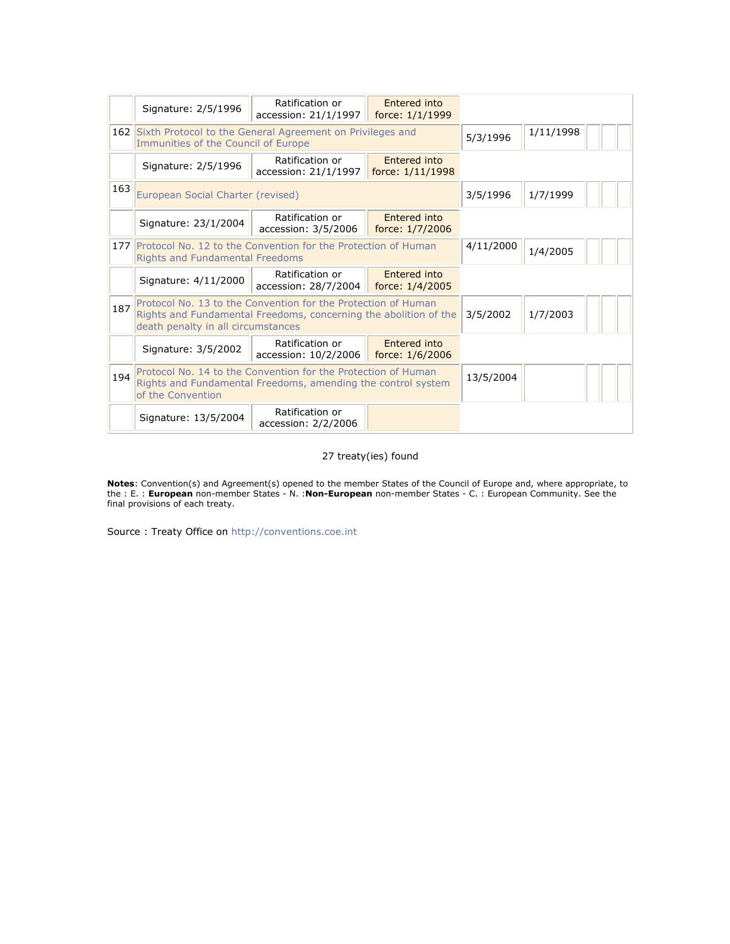|     | Signature: 2/5/1996                                                                                                                                                     | Ratification or<br>accession: 21/1/1997 | Entered into<br>force: 1/1/1999  |           |           |
|-----|-------------------------------------------------------------------------------------------------------------------------------------------------------------------------|-----------------------------------------|----------------------------------|-----------|-----------|
|     | 162 Sixth Protocol to the General Agreement on Privileges and<br>Immunities of the Council of Europe                                                                    |                                         |                                  | 5/3/1996  | 1/11/1998 |
|     | Signature: 2/5/1996                                                                                                                                                     | Ratification or<br>accession: 21/1/1997 | Entered into<br>force: 1/11/1998 |           |           |
| 163 | European Social Charter (revised)                                                                                                                                       |                                         |                                  | 3/5/1996  | 1/7/1999  |
|     | Signature: 23/1/2004                                                                                                                                                    | Ratification or<br>accession: 3/5/2006  | Entered into<br>force: 1/7/2006  |           |           |
|     | 177 Protocol No. 12 to the Convention for the Protection of Human<br><b>Rights and Fundamental Freedoms</b>                                                             |                                         |                                  | 4/11/2000 | 1/4/2005  |
|     | Signature: 4/11/2000                                                                                                                                                    | Ratification or<br>accession: 28/7/2004 | Entered into<br>force: 1/4/2005  |           |           |
| 187 | Protocol No. 13 to the Convention for the Protection of Human<br>Rights and Fundamental Freedoms, concerning the abolition of the<br>death penalty in all circumstances |                                         |                                  | 3/5/2002  | 1/7/2003  |
|     | Signature: 3/5/2002                                                                                                                                                     | Ratification or<br>accession: 10/2/2006 | Entered into<br>force: 1/6/2006  |           |           |
| 194 | Protocol No. 14 to the Convention for the Protection of Human<br>Rights and Fundamental Freedoms, amending the control system<br>of the Convention                      |                                         |                                  | 13/5/2004 |           |
|     | Signature: 13/5/2004                                                                                                                                                    | Ratification or<br>accession: 2/2/2006  |                                  |           |           |

### 27 treaty(ies) found

**Notes**: Convention(s) and Agreement(s) opened to the member States of the Council of Europe and, where appropriate, to the : E. : **European** non-member States - N. :**Non-European** non-member States - C. : European Community. See the final provisions of each treaty.

Source : Treaty Office on http://conventions.coe.int